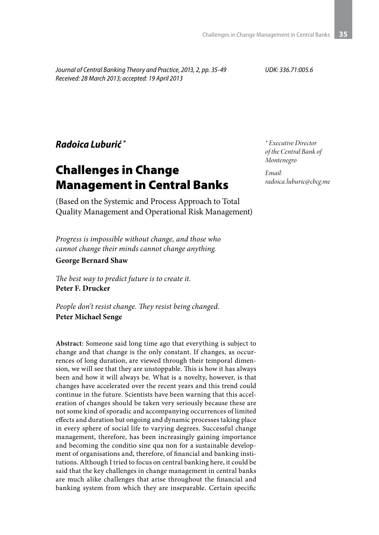*Journal of Central Banking Theory and Practice, 2013, 2, pp. 35-49 Received: 28 March 2013; accepted: 19 April 2013*

*UDK: 336.71:005.6*

*Radoica Luburić \**

# Challenges in Change Management in Central Banks

(Based on the Systemic and Process Approach to Total Quality Management and Operational Risk Management)

*Progress is impossible without change, and those who cannot change their minds cannot change anything.*

**George Bernard Shaw**

*The best way to predict future is to create it.* **Peter F. Drucker**

*People don't resist change. They resist being changed.* **Peter Michael Senge**

**Abstract**: Someone said long time ago that everything is subject to change and that change is the only constant. If changes, as occurrences of long duration, are viewed through their temporal dimension, we will see that they are unstoppable. This is how it has always been and how it will always be. What is a novelty, however, is that changes have accelerated over the recent years and this trend could continue in the future. Scientists have been warning that this acceleration of changes should be taken very seriously because these are not some kind of sporadic and accompanying occurrences of limited effects and duration but ongoing and dynamic processes taking place in every sphere of social life to varying degrees. Successful change management, therefore, has been increasingly gaining importance and becoming the conditio sine qua non for a sustainable development of organisations and, therefore, of financial and banking institutions. Although I tried to focus on central banking here, it could be said that the key challenges in change management in central banks are much alike challenges that arise throughout the financial and banking system from which they are inseparable. Certain specific

*\* Executive Director of the Central Bank of Montenegro*

*Email: radoica.luburic@cbcg.me*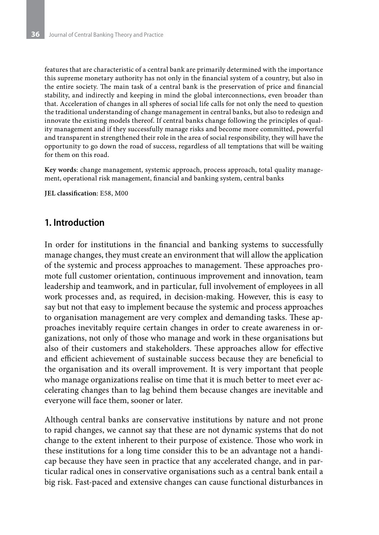features that are characteristic of a central bank are primarily determined with the importance this supreme monetary authority has not only in the financial system of a country, but also in the entire society. The main task of a central bank is the preservation of price and financial stability, and indirectly and keeping in mind the global interconnections, even broader than that. Acceleration of changes in all spheres of social life calls for not only the need to question the traditional understanding of change management in central banks, but also to redesign and innovate the existing models thereof. If central banks change following the principles of quality management and if they successfully manage risks and become more committed, powerful and transparent in strengthened their role in the area of social responsibility, they will have the opportunity to go down the road of success, regardless of all temptations that will be waiting for them on this road.

**Key words**: change management, systemic approach, process approach, total quality management, operational risk management, financial and banking system, central banks

**JEL classification**: E58, M00

### **1. Introduction**

In order for institutions in the financial and banking systems to successfully manage changes, they must create an environment that will allow the application of the systemic and process approaches to management. These approaches promote full customer orientation, continuous improvement and innovation, team leadership and teamwork, and in particular, full involvement of employees in all work processes and, as required, in decision-making. However, this is easy to say but not that easy to implement because the systemic and process approaches to organisation management are very complex and demanding tasks. These approaches inevitably require certain changes in order to create awareness in organizations, not only of those who manage and work in these organisations but also of their customers and stakeholders. These approaches allow for effective and efficient achievement of sustainable success because they are beneficial to the organisation and its overall improvement. It is very important that people who manage organizations realise on time that it is much better to meet ever accelerating changes than to lag behind them because changes are inevitable and everyone will face them, sooner or later.

Although central banks are conservative institutions by nature and not prone to rapid changes, we cannot say that these are not dynamic systems that do not change to the extent inherent to their purpose of existence. Those who work in these institutions for a long time consider this to be an advantage not a handicap because they have seen in practice that any accelerated change, and in particular radical ones in conservative organisations such as a central bank entail a big risk. Fast-paced and extensive changes can cause functional disturbances in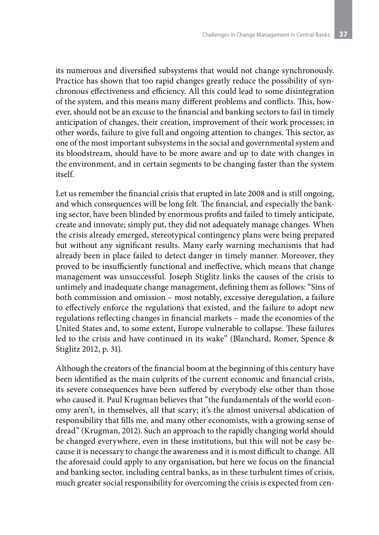its numerous and diversified subsystems that would not change synchronously. Practice has shown that too rapid changes greatly reduce the possibility of synchronous effectiveness and efficiency. All this could lead to some disintegration of the system, and this means many different problems and conflicts. This, however, should not be an excuse to the financial and banking sectors to fail in timely anticipation of changes, their creation, improvement of their work processes; in other words, failure to give full and ongoing attention to changes. This sector, as one of the most important subsystems in the social and governmental system and its bloodstream, should have to be more aware and up to date with changes in the environment, and in certain segments to be changing faster than the system itself.

Let us remember the financial crisis that erupted in late 2008 and is still ongoing, and which consequences will be long felt. The financial, and especially the banking sector, have been blinded by enormous profits and failed to timely anticipate, create and innovate; simply put, they did not adequately manage changes. When the crisis already emerged, stereotypical contingency plans were being prepared but without any significant results. Many early warning mechanisms that had already been in place failed to detect danger in timely manner. Moreover, they proved to be insufficiently functional and ineffective, which means that change management was unsuccessful. Joseph Stiglitz links the causes of the crisis to untimely and inadequate change management, defining them as follows: "Sins of both commission and omission – most notably, excessive deregulation, a failure to effectively enforce the regulations that existed, and the failure to adopt new regulations reflecting changes in financial markets – made the economies of the United States and, to some extent, Europe vulnerable to collapse. These failures led to the crisis and have continued in its wake" (Blanchard, Romer, Spence & Stiglitz 2012, p. 31).

Although the creators of the financial boom at the beginning of this century have been identified as the main culprits of the current economic and financial crisis, its severe consequences have been suffered by everybody else other than those who caused it. Paul Krugman believes that "the fundamentals of the world economy aren't, in themselves, all that scary; it's the almost universal abdication of responsibility that fills me, and many other economists, with a growing sense of dread" (Krugman, 2012). Such an approach to the rapidly changing world should be changed everywhere, even in these institutions, but this will not be easy because it is necessary to change the awareness and it is most difficult to change. All the aforesaid could apply to any organisation, but here we focus on the financial and banking sector, including central banks, as in these turbulent times of crisis, much greater social responsibility for overcoming the crisis is expected from cen-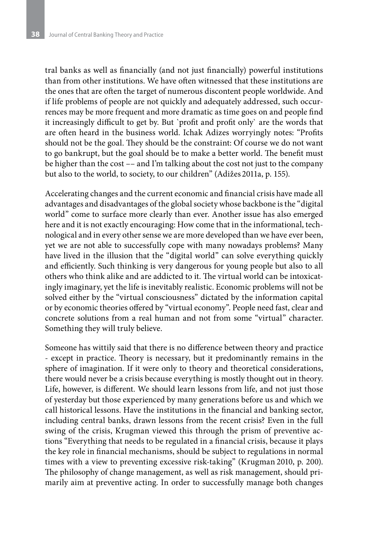tral banks as well as financially (and not just financially) powerful institutions than from other institutions. We have often witnessed that these institutions are the ones that are often the target of numerous discontent people worldwide. And if life problems of people are not quickly and adequately addressed, such occurrences may be more frequent and more dramatic as time goes on and people find it increasingly difficult to get by. But `profit and profit only` are the words that are often heard in the business world. Ichak Adizes worryingly notes: "Profits should not be the goal. They should be the constraint: Of course we do not want to go bankrupt, but the goal should be to make a better world. The benefit must be higher than the cost –– and I'm talking about the cost not just to the company but also to the world, to society, to our children" (Adižes 2011a, p. 155).

Accelerating changes and the current economic and financial crisis have made all advantages and disadvantages of the global society whose backbone is the "digital world" come to surface more clearly than ever. Another issue has also emerged here and it is not exactly encouraging: How come that in the informational, technological and in every other sense we are more developed than we have ever been, yet we are not able to successfully cope with many nowadays problems? Many have lived in the illusion that the "digital world" can solve everything quickly and efficiently. Such thinking is very dangerous for young people but also to all others who think alike and are addicted to it. The virtual world can be intoxicatingly imaginary, yet the life is inevitably realistic. Economic problems will not be solved either by the "virtual consciousness" dictated by the information capital or by economic theories offered by "virtual economy". People need fast, clear and concrete solutions from a real human and not from some "virtual" character. Something they will truly believe.

Someone has wittily said that there is no difference between theory and practice - except in practice. Theory is necessary, but it predominantly remains in the sphere of imagination. If it were only to theory and theoretical considerations, there would never be a crisis because everything is mostly thought out in theory. Life, however, is different. We should learn lessons from life, and not just those of yesterday but those experienced by many generations before us and which we call historical lessons. Have the institutions in the financial and banking sector, including central banks, drawn lessons from the recent crisis? Even in the full swing of the crisis, Krugman viewed this through the prism of preventive actions "Everything that needs to be regulated in a financial crisis, because it plays the key role in financial mechanisms, should be subject to regulations in normal times with a view to preventing excessive risk-taking" (Krugman 2010, p. 200). The philosophy of change management, as well as risk management, should primarily aim at preventive acting. In order to successfully manage both changes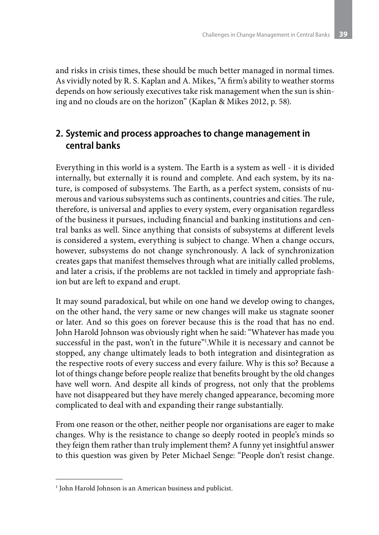and risks in crisis times, these should be much better managed in normal times. As vividly noted by R. S. Kaplan and A. Mikes, "A firm's ability to weather storms depends on how seriously executives take risk management when the sun is shining and no clouds are on the horizon" (Kaplan & Mikes 2012, p. 58).

## **2. Systemic and process approaches to change management in central banks**

Everything in this world is a system. The Earth is a system as well - it is divided internally, but externally it is round and complete. And each system, by its nature, is composed of subsystems. The Earth, as a perfect system, consists of numerous and various subsystems such as continents, countries and cities. The rule, therefore, is universal and applies to every system, every organisation regardless of the business it pursues, including financial and banking institutions and central banks as well. Since anything that consists of subsystems at different levels is considered a system, everything is subject to change. When a change occurs, however, subsystems do not change synchronously. A lack of synchronization creates gaps that manifest themselves through what are initially called problems, and later a crisis, if the problems are not tackled in timely and appropriate fashion but are left to expand and erupt.

It may sound paradoxical, but while on one hand we develop owing to changes, on the other hand, the very same or new changes will make us stagnate sooner or later. And so this goes on forever because this is the road that has no end. John Harold Johnson was obviously right when he said: "Whatever has made you successful in the past, won't in the future"1 .While it is necessary and cannot be stopped, any change ultimately leads to both integration and disintegration as the respective roots of every success and every failure. Why is this so? Because a lot of things change before people realize that benefits brought by the old changes have well worn. And despite all kinds of progress, not only that the problems have not disappeared but they have merely changed appearance, becoming more complicated to deal with and expanding their range substantially.

From one reason or the other, neither people nor organisations are eager to make changes. Why is the resistance to change so deeply rooted in people's minds so they feign them rather than truly implement them? A funny yet insightful answer to this question was given by Peter Michael Senge: "People don't resist change.

<sup>&</sup>lt;sup>1</sup> John Harold Johnson is an American business and publicist.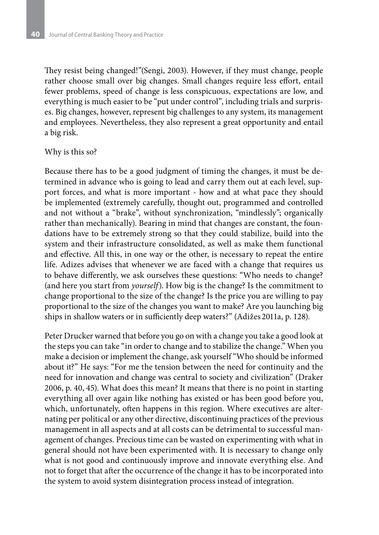They resist being changed!"(Sengi, 2003). However, if they must change, people rather choose small over big changes. Small changes require less effort, entail fewer problems, speed of change is less conspicuous, expectations are low, and everything is much easier to be "put under control", including trials and surprises. Big changes, however, represent big challenges to any system, its management and employees. Nevertheless, they also represent a great opportunity and entail a big risk.

#### Why is this so?

Because there has to be a good judgment of timing the changes, it must be determined in advance who is going to lead and carry them out at each level, support forces, and what is more important - how and at what pace they should be implemented (extremely carefully, thought out, programmed and controlled and not without a "brake", without synchronization, "mindlessly"; organically rather than mechanically). Bearing in mind that changes are constant, the foundations have to be extremely strong so that they could stabilize, build into the system and their infrastructure consolidated, as well as make them functional and effective. All this, in one way or the other, is necessary to repeat the entire life. Adizes advises that whenever we are faced with a change that requires us to behave differently, we ask ourselves these questions: "Who needs to change? (and here you start from *yourself*). How big is the change? Is the commitment to change proportional to the size of the change? Is the price you are willing to pay proportional to the size of the changes you want to make? Are you launching big ships in shallow waters or in sufficiently deep waters?" (Adižes 2011a, p. 128).

Peter Drucker warned that before you go on with a change you take a good look at the steps you can take "in order to change and to stabilize the change." When you make a decision or implement the change, ask yourself "Who should be informed about it?" He says: "For me the tension between the need for continuity and the need for innovation and change was central to society and civilization" (Draker 2006, p. 40, 45). What does this mean? It means that there is no point in starting everything all over again like nothing has existed or has been good before you, which, unfortunately, often happens in this region. Where executives are alternating per political or any other directive, discontinuing practices of the previous management in all aspects and at all costs can be detrimental to successful management of changes. Precious time can be wasted on experimenting with what in general should not have been experimented with. It is necessary to change only what is not good and continuously improve and innovate everything else. And not to forget that after the occurrence of the change it has to be incorporated into the system to avoid system disintegration process instead of integration.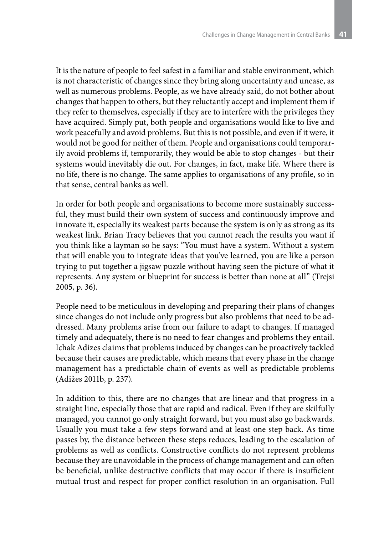It is the nature of people to feel safest in a familiar and stable environment, which is not characteristic of changes since they bring along uncertainty and unease, as well as numerous problems. People, as we have already said, do not bother about changes that happen to others, but they reluctantly accept and implement them if they refer to themselves, especially if they are to interfere with the privileges they have acquired. Simply put, both people and organisations would like to live and work peacefully and avoid problems. But this is not possible, and even if it were, it would not be good for neither of them. People and organisations could temporarily avoid problems if, temporarily, they would be able to stop changes - but their systems would inevitably die out. For changes, in fact, make life. Where there is no life, there is no change. The same applies to organisations of any profile, so in that sense, central banks as well.

In order for both people and organisations to become more sustainably successful, they must build their own system of success and continuously improve and innovate it, especially its weakest parts because the system is only as strong as its weakest link. Brian Tracy believes that you cannot reach the results you want if you think like a layman so he says: "You must have a system. Without a system that will enable you to integrate ideas that you've learned, you are like a person trying to put together a jigsaw puzzle without having seen the picture of what it represents. Any system or blueprint for success is better than none at all" (Trejsi 2005, p. 36).

People need to be meticulous in developing and preparing their plans of changes since changes do not include only progress but also problems that need to be addressed. Many problems arise from our failure to adapt to changes. If managed timely and adequately, there is no need to fear changes and problems they entail. Ichak Adizes claims that problems induced by changes can be proactively tackled because their causes are predictable, which means that every phase in the change management has a predictable chain of events as well as predictable problems (Adižes 2011b, p. 237).

In addition to this, there are no changes that are linear and that progress in a straight line, especially those that are rapid and radical. Even if they are skilfully managed, you cannot go only straight forward, but you must also go backwards. Usually you must take a few steps forward and at least one step back. As time passes by, the distance between these steps reduces, leading to the escalation of problems as well as conflicts. Constructive conflicts do not represent problems because they are unavoidable in the process of change management and can often be beneficial, unlike destructive conflicts that may occur if there is insufficient mutual trust and respect for proper conflict resolution in an organisation. Full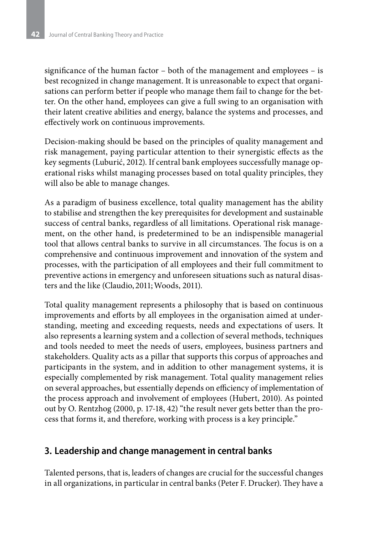significance of the human factor – both of the management and employees – is best recognized in change management. It is unreasonable to expect that organisations can perform better if people who manage them fail to change for the better. On the other hand, employees can give a full swing to an organisation with their latent creative abilities and energy, balance the systems and processes, and effectively work on continuous improvements.

Decision-making should be based on the principles of quality management and risk management, paying particular attention to their synergistic effects as the key segments (Luburić, 2012). If central bank employees successfully manage operational risks whilst managing processes based on total quality principles, they will also be able to manage changes.

As a paradigm of business excellence, total quality management has the ability to stabilise and strengthen the key prerequisites for development and sustainable success of central banks, regardless of all limitations. Operational risk management, on the other hand, is predetermined to be an indispensible managerial tool that allows central banks to survive in all circumstances. The focus is on a comprehensive and continuous improvement and innovation of the system and processes, with the participation of all employees and their full commitment to preventive actions in emergency and unforeseen situations such as natural disasters and the like (Claudio, 2011;Woods, 2011).

Total quality management represents a philosophy that is based on continuous improvements and efforts by all employees in the organisation aimed at understanding, meeting and exceeding requests, needs and expectations of users. It also represents a learning system and a collection of several methods, techniques and tools needed to meet the needs of users, employees, business partners and stakeholders. Quality acts as a pillar that supports this corpus of approaches and participants in the system, and in addition to other management systems, it is especially complemented by risk management. Total quality management relies on several approaches, but essentially depends on efficiency of implementation of the process approach and involvement of employees (Hubert, 2010). As pointed out by O. Rentzhog (2000, p. 17-18, 42) "the result never gets better than the process that forms it, and therefore, working with process is a key principle."

## **3. Leadership and change management in central banks**

Talented persons, that is, leaders of changes are crucial for the successful changes in all organizations, in particular in central banks (Peter F. Drucker). They have a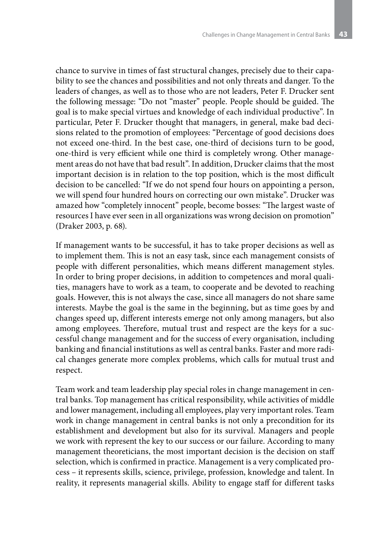chance to survive in times of fast structural changes, precisely due to their capability to see the chances and possibilities and not only threats and danger. To the leaders of changes, as well as to those who are not leaders, Peter F. Drucker sent the following message: "Do not "master" people. People should be guided. The goal is to make special virtues and knowledge of each individual productive". In particular, Peter F. Drucker thought that managers, in general, make bad decisions related to the promotion of employees: "Percentage of good decisions does not exceed one-third. In the best case, one-third of decisions turn to be good, one-third is very efficient while one third is completely wrong. Other management areas do not have that bad result". In addition, Drucker claims that the most important decision is in relation to the top position, which is the most difficult decision to be cancelled: "If we do not spend four hours on appointing a person, we will spend four hundred hours on correcting our own mistake". Drucker was amazed how "completely innocent" people, become bosses: "The largest waste of resources I have ever seen in all organizations was wrong decision on promotion" (Draker 2003, p. 68).

If management wants to be successful, it has to take proper decisions as well as to implement them. This is not an easy task, since each management consists of people with different personalities, which means different management styles. In order to bring proper decisions, in addition to competences and moral qualities, managers have to work as a team, to cooperate and be devoted to reaching goals. However, this is not always the case, since all managers do not share same interests. Maybe the goal is the same in the beginning, but as time goes by and changes speed up, different interests emerge not only among managers, but also among employees. Therefore, mutual trust and respect are the keys for a successful change management and for the success of every organisation, including banking and financial institutions as well as central banks. Faster and more radical changes generate more complex problems, which calls for mutual trust and respect.

Team work and team leadership play special roles in change management in central banks. Top management has critical responsibility, while activities of middle and lower management, including all employees, play very important roles. Team work in change management in central banks is not only a precondition for its establishment and development but also for its survival. Managers and people we work with represent the key to our success or our failure. According to many management theoreticians, the most important decision is the decision on staff selection, which is confirmed in practice. Management is a very complicated process – it represents skills, science, privilege, profession, knowledge and talent. In reality, it represents managerial skills. Ability to engage staff for different tasks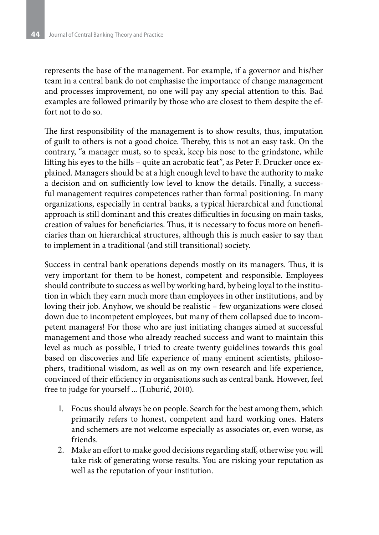represents the base of the management. For example, if a governor and his/her team in a central bank do not emphasise the importance of change management and processes improvement, no one will pay any special attention to this. Bad examples are followed primarily by those who are closest to them despite the effort not to do so.

The first responsibility of the management is to show results, thus, imputation of guilt to others is not a good choice. Thereby, this is not an easy task. On the contrary, "a manager must, so to speak, keep his nose to the grindstone, while lifting his eyes to the hills – quite an acrobatic feat", as Peter F. Drucker once explained. Managers should be at a high enough level to have the authority to make a decision and on sufficiently low level to know the details. Finally, a successful management requires competences rather than formal positioning. In many organizations, especially in central banks, a typical hierarchical and functional approach is still dominant and this creates difficulties in focusing on main tasks, creation of values for beneficiaries. Thus, it is necessary to focus more on beneficiaries than on hierarchical structures, although this is much easier to say than to implement in a traditional (and still transitional) society.

Success in central bank operations depends mostly on its managers. Thus, it is very important for them to be honest, competent and responsible. Employees should contribute to success as well by working hard, by being loyal to the institution in which they earn much more than employees in other institutions, and by loving their job. Anyhow, we should be realistic – few organizations were closed down due to incompetent employees, but many of them collapsed due to incompetent managers! For those who are just initiating changes aimed at successful management and those who already reached success and want to maintain this level as much as possible, I tried to create twenty guidelines towards this goal based on discoveries and life experience of many eminent scientists, philosophers, traditional wisdom, as well as on my own research and life experience, convinced of their efficiency in organisations such as central bank. However, feel free to judge for yourself ... (Luburić, 2010).

- 1. Focus should always be on people. Search for the best among them, which primarily refers to honest, competent and hard working ones. Haters and schemers are not welcome especially as associates or, even worse, as friends.
- 2. Make an effort to make good decisions regarding staff, otherwise you will take risk of generating worse results. You are risking your reputation as well as the reputation of your institution.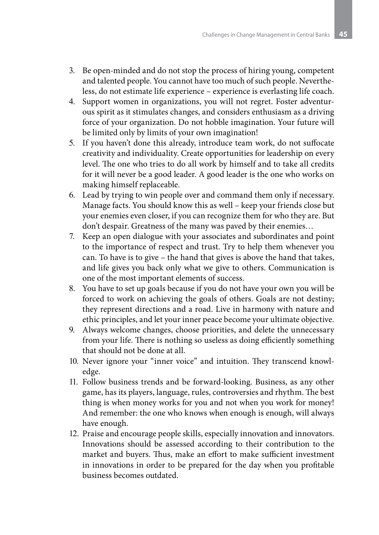- 3. Be open-minded and do not stop the process of hiring young, competent and talented people. You cannot have too much of such people. Nevertheless, do not estimate life experience – experience is everlasting life coach.
- 4. Support women in organizations, you will not regret. Foster adventurous spirit as it stimulates changes, and considers enthusiasm as a driving force of your organization. Do not hobble imagination. Your future will be limited only by limits of your own imagination!
- 5. If you haven't done this already, introduce team work, do not suffocate creativity and individuality. Create opportunities for leadership on every level. The one who tries to do all work by himself and to take all credits for it will never be a good leader. A good leader is the one who works on making himself replaceable.
- 6. Lead by trying to win people over and command them only if necessary. Manage facts. You should know this as well – keep your friends close but your enemies even closer, if you can recognize them for who they are. But don't despair. Greatness of the many was paved by their enemies…
- 7. Keep an open dialogue with your associates and subordinates and point to the importance of respect and trust. Try to help them whenever you can. To have is to give – the hand that gives is above the hand that takes, and life gives you back only what we give to others. Communication is one of the most important elements of success.
- 8. You have to set up goals because if you do not have your own you will be forced to work on achieving the goals of others. Goals are not destiny; they represent directions and a road. Live in harmony with nature and ethic principles, and let your inner peace become your ultimate objective.
- 9. Always welcome changes, choose priorities, and delete the unnecessary from your life. There is nothing so useless as doing efficiently something that should not be done at all.
- 10. Never ignore your "inner voice" and intuition. They transcend knowledge.
- 11. Follow business trends and be forward-looking. Business, as any other game, has its players, language, rules, controversies and rhythm. The best thing is when money works for you and not when you work for money! And remember: the one who knows when enough is enough, will always have enough.
- 12. Praise and encourage people skills, especially innovation and innovators. Innovations should be assessed according to their contribution to the market and buyers. Thus, make an effort to make sufficient investment in innovations in order to be prepared for the day when you profitable business becomes outdated.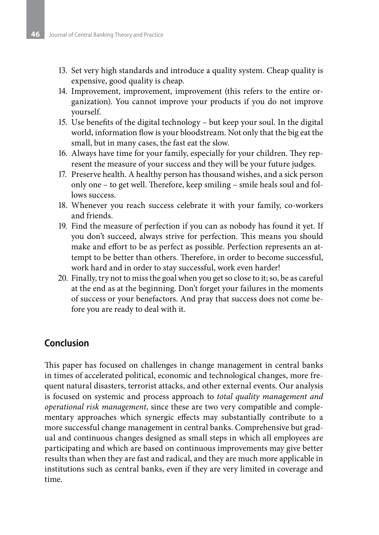- 13. Set very high standards and introduce a quality system. Cheap quality is expensive, good quality is cheap.
- 14. Improvement, improvement, improvement (this refers to the entire organization). You cannot improve your products if you do not improve yourself.
- 15. Use benefits of the digital technology but keep your soul. In the digital world, information flow is your bloodstream. Not only that the big eat the small, but in many cases, the fast eat the slow.
- 16. Always have time for your family, especially for your children. They represent the measure of your success and they will be your future judges.
- 17. Preserve health. A healthy person has thousand wishes, and a sick person only one – to get well. Therefore, keep smiling – smile heals soul and follows success.
- 18. Whenever you reach success celebrate it with your family, co-workers and friends.
- 19. Find the measure of perfection if you can as nobody has found it yet. If you don't succeed, always strive for perfection. This means you should make and effort to be as perfect as possible. Perfection represents an attempt to be better than others. Therefore, in order to become successful, work hard and in order to stay successful, work even harder!
- 20. Finally, try not to miss the goal when you get so close to it; so, be as careful at the end as at the beginning. Don't forget your failures in the moments of success or your benefactors. And pray that success does not come before you are ready to deal with it.

## **Conclusion**

This paper has focused on challenges in change management in central banks in times of accelerated political, economic and technological changes, more frequent natural disasters, terrorist attacks, and other external events. Our analysis is focused on systemic and process approach to *total quality management and operational risk management*, since these are two very compatible and complementary approaches which synergic effects may substantially contribute to a more successful change management in central banks. Comprehensive but gradual and continuous changes designed as small steps in which all employees are participating and which are based on continuous improvements may give better results than when they are fast and radical, and they are much more applicable in institutions such as central banks, even if they are very limited in coverage and time.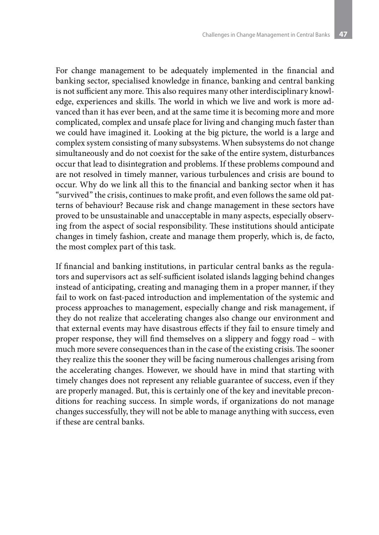For change management to be adequately implemented in the financial and banking sector, specialised knowledge in finance, banking and central banking is not sufficient any more. This also requires many other interdisciplinary knowledge, experiences and skills. The world in which we live and work is more advanced than it has ever been, and at the same time it is becoming more and more complicated, complex and unsafe place for living and changing much faster than we could have imagined it. Looking at the big picture, the world is a large and complex system consisting of many subsystems. When subsystems do not change simultaneously and do not coexist for the sake of the entire system, disturbances occur that lead to disintegration and problems. If these problems compound and are not resolved in timely manner, various turbulences and crisis are bound to occur. Why do we link all this to the financial and banking sector when it has "survived" the crisis, continues to make profit, and even follows the same old patterns of behaviour? Because risk and change management in these sectors have proved to be unsustainable and unacceptable in many aspects, especially observing from the aspect of social responsibility. These institutions should anticipate changes in timely fashion, create and manage them properly, which is, de facto, the most complex part of this task.

If financial and banking institutions, in particular central banks as the regulators and supervisors act as self-sufficient isolated islands lagging behind changes instead of anticipating, creating and managing them in a proper manner, if they fail to work on fast-paced introduction and implementation of the systemic and process approaches to management, especially change and risk management, if they do not realize that accelerating changes also change our environment and that external events may have disastrous effects if they fail to ensure timely and proper response, they will find themselves on a slippery and foggy road – with much more severe consequences than in the case of the existing crisis. The sooner they realize this the sooner they will be facing numerous challenges arising from the accelerating changes. However, we should have in mind that starting with timely changes does not represent any reliable guarantee of success, even if they are properly managed. But, this is certainly one of the key and inevitable preconditions for reaching success. In simple words, if organizations do not manage changes successfully, they will not be able to manage anything with success, even if these are central banks.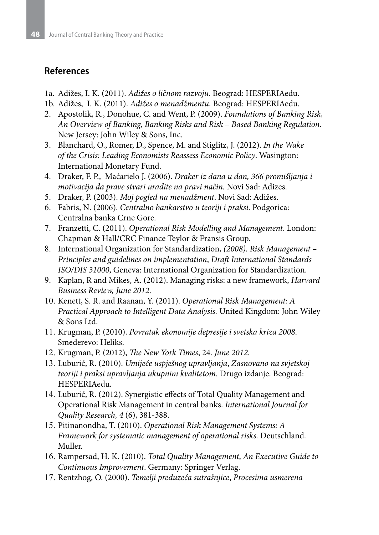## **References**

- 1a. Adižes, I. K. (2011). *Adižes o ličnom razvoju.* Beograd: HESPERIAedu.
- 1b. Adižes, I. K. (2011). *Adižes o menadžmentu*. Beograd: HESPERIAedu.
- 2. Apostolik, R., Donohue, C. and Went, P. (2009). *Foundations of Banking Risk, An Overview of Banking, Banking Risks and Risk – Based Banking Regulation.*  New Jersey: John Wiley & Sons, Inc.
- 3. Blanchard, O., Romer, D., Spence, M. and Stiglitz, J. (2012). *In the Wake of the Crisis: Leading Economists Reassess Economic Policy*. Wasington: International Monetary Fund.
- 4. Draker, F. P., Maćarielo J. (2006). *Draker iz dana u dan, 366 promišljanja i motivacija da prave stvari uradite na pravi način.* Novi Sad: Adizes.
- 5. Draker, P. (2003). *Moj pogled na menadžment*. Novi Sad: Adižes.
- 6. Fabris, N. (2006). *Centralno bankarstvo u teoriji i praksi*. Podgorica: Centralna banka Crne Gore.
- 7. Franzetti, C. (2011). *Operational Risk Modelling and Management*. London: Chapman & Hall/CRC Finance Teylor & Fransis Group.
- 8. International Organization for Standardization, (2008). Risk Management *Principles and guidelines on implementation*, *Draft International Standards ISO/DIS 31000*, Geneva: International Organization for Standardization.
- 9. Kaplan, R and Mikes, A. (2012). Managing risks: a new framework, *Harvard Business Review, June 2012*.
- 10. Kenett, S. R. and Raanan, Y. (2011). *Operational Risk Management: A Practical Approach to Intelligent Data Analysis.* United Kingdom: John Wiley & Sons Ltd.
- 11. Krugman, P. (2010). *Povratak ekonomije depresije i svetska kriza 2008*. Smederevo: Heliks.
- 12. Krugman, P. (2012), *The New York Times*, 24. *June 2012.*
- 13. Luburić, R. (2010). *Umijeće uspješnog upravljanja*, *Zasnovano na svjetskoj teoriji i praksi upravljanja ukupnim kvalitetom*. Drugo izdanje. Beograd: HESPERIAedu.
- 14. Luburić, R. (2012). Synergistic effects of Total Quality Management and Operational Risk Management in central banks. *International Journal for Quality Research, 4* (6), 381-388.
- 15. Pitinanondha, T. (2010). *Operational Risk Management Systems: A Framework for systematic management of operational risks.* Deutschland. Muller.
- 16. Rampersad, H. K. (2010). *Total Quality Management*, *An Executive Guide to Continuous Improvement*. Germany: Springer Verlag.
- 17. Rentzhog, O. (2000). *Temelji preduzeća sutrašnjice*, *Procesima usmerena*